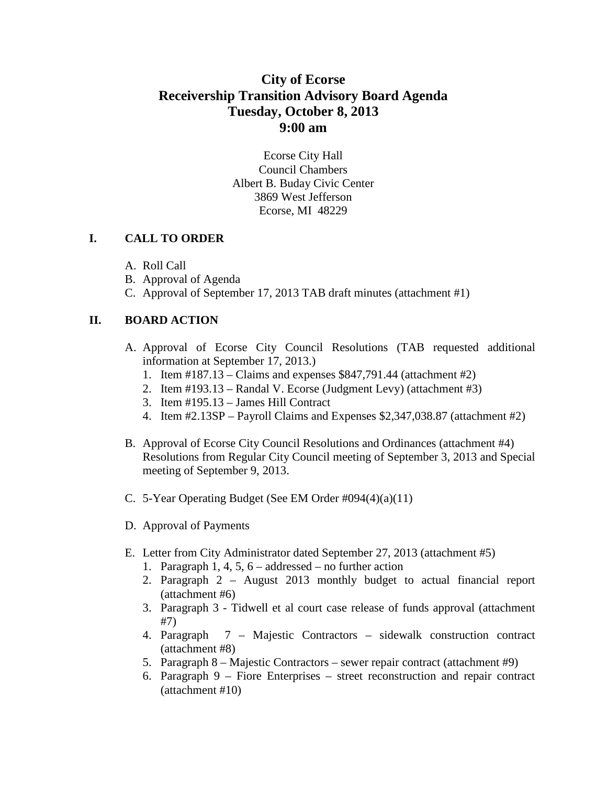# **City of Ecorse Receivership Transition Advisory Board Agenda Tuesday, October 8, 2013 9:00 am**

Ecorse City Hall Council Chambers Albert B. Buday Civic Center 3869 West Jefferson Ecorse, MI 48229

#### **I. CALL TO ORDER**

- A. Roll Call
- B. Approval of Agenda
- C. Approval of September 17, 2013 TAB draft minutes (attachment #1)

### **II. BOARD ACTION**

- A. Approval of Ecorse City Council Resolutions (TAB requested additional information at September 17, 2013.)
	- 1. Item #187.13 Claims and expenses \$847,791.44 (attachment #2)
	- 2. Item #193.13 Randal V. Ecorse (Judgment Levy) (attachment #3)
	- 3. Item #195.13 James Hill Contract
	- 4. Item #2.13SP Payroll Claims and Expenses \$2,347,038.87 (attachment #2)
- B. Approval of Ecorse City Council Resolutions and Ordinances (attachment #4) Resolutions from Regular City Council meeting of September 3, 2013 and Special meeting of September 9, 2013.
- C. 5-Year Operating Budget (See EM Order #094(4)(a)(11)
- D. Approval of Payments
- E. Letter from City Administrator dated September 27, 2013 (attachment #5)
	- 1. Paragraph 1, 4, 5, 6 addressed no further action
	- 2. Paragraph 2 August 2013 monthly budget to actual financial report (attachment #6)
	- 3. Paragraph 3 Tidwell et al court case release of funds approval (attachment #7)
	- 4. Paragraph 7 Majestic Contractors sidewalk construction contract (attachment #8)
	- 5. Paragraph 8 Majestic Contractors sewer repair contract (attachment #9)
	- 6. Paragraph 9 Fiore Enterprises street reconstruction and repair contract (attachment #10)